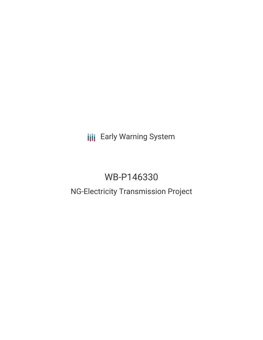**III** Early Warning System

# WB-P146330

## NG-Electricity Transmission Project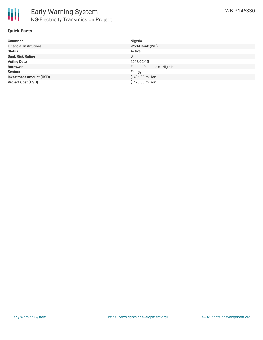

#### **Quick Facts**

| <b>Countries</b>               | Nigeria                     |
|--------------------------------|-----------------------------|
| <b>Financial Institutions</b>  | World Bank (WB)             |
| <b>Status</b>                  | Active                      |
| <b>Bank Risk Rating</b>        | B                           |
| <b>Voting Date</b>             | 2018-02-15                  |
| <b>Borrower</b>                | Federal Republic of Nigeria |
| <b>Sectors</b>                 | Energy                      |
| <b>Investment Amount (USD)</b> | \$486.00 million            |
| <b>Project Cost (USD)</b>      | \$490.00 million            |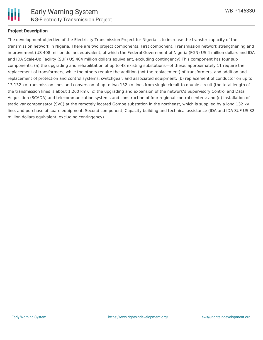

#### **Project Description**

The development objective of the Electricity Transmission Project for Nigeria is to increase the transfer capacity of the transmission network in Nigeria. There are two project components. First component, Transmission network strengthening and improvement (US 408 million dollars equivalent, of which the Federal Government of Nigeria (FGN) US 4 million dollars and IDA and IDA Scale-Up Facility (SUF) US 404 million dollars equivalent, excluding contingency).This component has four sub components: (a) the upgrading and rehabilitation of up to 48 existing substations—of these, approximately 11 require the replacement of transformers, while the others require the addition (not the replacement) of transformers, and addition and replacement of protection and control systems, switchgear, and associated equipment; (b) replacement of conductor on up to 13 132 kV transmission lines and conversion of up to two 132 kV lines from single circuit to double circuit (the total length of the transmission lines is about 1,260 km); (c) the upgrading and expansion of the network's Supervisory Control and Data Acquisition (SCADA) and telecommunication systems and construction of four regional control centers; and (d) installation of static var compensator (SVC) at the remotely located Gombe substation in the northeast, which is supplied by a long 132 kV line, and purchase of spare equipment. Second component, Capacity building and technical assistance (IDA and IDA SUF US 32 million dollars equivalent, excluding contingency).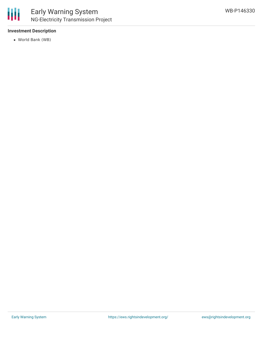

#### **Investment Description**

World Bank (WB)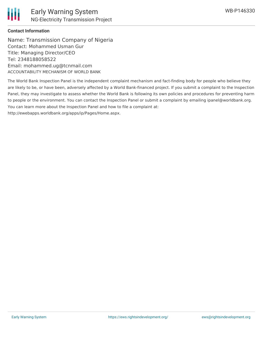#### **Contact Information**

Name: Transmission Company of Nigeria Contact: Mohammed Usman Gur Title: Managing Director/CEO Tel: 2348188058522 Email: mohammed.ug@tcnmail.com ACCOUNTABILITY MECHANISM OF WORLD BANK

The World Bank Inspection Panel is the independent complaint mechanism and fact-finding body for people who believe they are likely to be, or have been, adversely affected by a World Bank-financed project. If you submit a complaint to the Inspection Panel, they may investigate to assess whether the World Bank is following its own policies and procedures for preventing harm to people or the environment. You can contact the Inspection Panel or submit a complaint by emailing ipanel@worldbank.org. You can learn more about the Inspection Panel and how to file a complaint at: http://ewebapps.worldbank.org/apps/ip/Pages/Home.aspx.